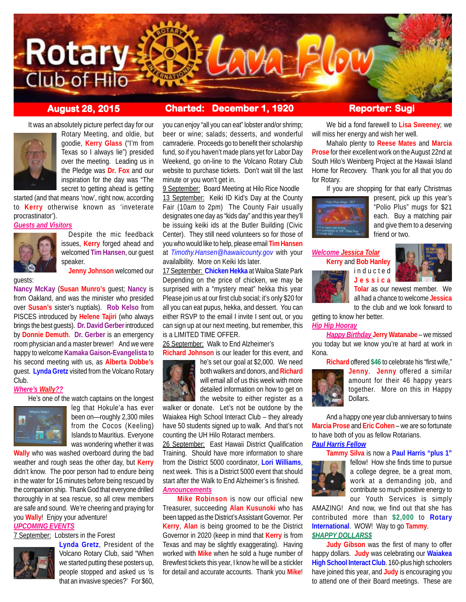

# **August 28, 2015 Charted: December 1, 1920 Reporter: Sugi**

It was an absolutely picture perfect day for our



Rotary Meeting, and oldie, but goodie, **Kerry Glass** ("I'm from Texas so I always lie") presided over the meeting. Leading us in the Pledge was **Dr. Fox** and our inspiration for the day was "The secret to getting ahead is getting

started (and that means 'now', right now, according to **Kerry** otherwise known as 'inveterate procrastinator').

*Guests and Visitors*



Despite the mic feedback issues, **Kerry** forged ahead and welcomed **Tim Hansen**, our guest speaker.

**Jenny Johnson** welcomed our

guests:

**Nancy McKay** (**Susan Munro's** guest; **Nancy** is from Oakland, and was the minister who presided over **Susan's** sister's nuptials). **Rob Kelso** from PISCES introduced by **Helene Tajiri** (who always brings the best guests). **Dr. David Gerber** introduced by **Donnie Demuth**. **Dr. Gerber** is an emergency room physician and a master brewer! And we were happy to welcome **Kamaka Gaison-Evangelista** to his second meeting with us, as **Alberta Dobbe's** guest. **Lynda Gretz** visited from the Volcano Rotary Club.

## *Where's Wally??*

He's one of the watch captains on the longest



leg that Hokule'a has ever been on—roughly 2,300 miles from the Cocos (Keeling) Islands to Mauritius. Everyone was wondering whether it was

**Wally** who was washed overboard during the bad weather and rough seas the other day, but **Kerry** didn't know. The poor person had to endure being in the water for 16 minutes before being rescued by the companion ship. Thank God that everyone drilled thoroughly in at sea rescue, so all crew members are safe and sound. We're cheering and praying for you **Wally**! Enjoy your adventure!

*UPCOMING EVENTS*

7 September: Lobsters in the Forest



**Lynda Gretz**, President of the Volcano Rotary Club, said "When we started putting these posters up, people stopped and asked us 'is that an invasive species?' For \$60,

you can enjoy "all you can eat" lobster and/or shrimp; beer or wine; salads; desserts, and wonderful camraderie. Proceeds go to benefit their scholarship fund, so if you haven't made plans yet for Labor Day Weekend, go on-line to the Volcano Rotary Club website to purchase tickets. Don't wait till the last minute or you won't get in.

9 September: Board Meeting at Hilo Rice Noodle 13 September: Keiki ID Kid's Day at the County Fair (10am to 2pm) The County Fair usually designates one day as "kids day" and this year they'll be issuing keiki ids at the Butler Building (Civic Center). They still need volunteers so for those of you who would like to help, please email **Tim Hansen** at *Timothy.Hansen@hawaiicounty.gov* with your availalbility. More on Keiki Ids later.

17 September: **Chicken Hekka** at Wailoa State Park Depending on the price of chicken, we may be surprised with a "mystery meat" hekka this year Please join us at our first club social; it's only \$20 for all you can eat pupus, hekka, and dessert. You can either RSVP to the email I invite I sent out, or you can sign up at our next meeting, but remember, this is a LIMITED TIME OFFER.

26 September: Walk to End Alzheimer's **Richard Johnson** is our leader for this event, and



he's set our goal at \$2,000. We need both walkers and donors, and **Richard** will email all of us this week with more detailed information on how to get on the website to either register as a

walker or donate. Let's not be outdone by the Waiakea High School Interact Club – they already have 50 students signed up to walk. And that's not counting the UH Hilo Rotaract members.

26 September: East Hawaii District Qualification Training. Should have more information to share from the District 5000 coordinator, **Lori Williams**, next week. This is a District 5000 event that should start after the Walk to End Alzheimer's is finished. *Announcements*

**Mike Robinson** is now our official new Treasurer, succeeding **Alan Kusunoki** who has been tapped as the District's Assistant Governor. Per **Kerry**, **Alan** is being groomed to be the District Governor in 2020 (keep in mind that **Kerry** is from Texas and may be slightly exaggerating). Having worked with **Mike** when he sold a huge number of Brewfest tickets this year, I know he will be a stickler for detail and accurate accounts. Thank you **Mike**!

We bid a fond farewell to **Lisa Sweeney**; we will miss her energy and wish her well.

Mahalo plenty to **Reese Mates** and **Marcia Prose** for their excellent work on the August 22nd at South Hilo's Weinberg Project at the Hawaii Island Home for Recovery. Thank you for all that you do for Rotary.

If you are shopping for that early Christmas



present, pick up this year's "Polio Plus" mugs for \$21 each. Buy a matching pair and give them to a deserving friend or two.

## *Welcome Jessica Tolar* **Kerry** and **Bob Hanley** inducted **Jessica**



**Tolar** as our newest member. We all had a chance to welcome **Jessica** to the club and we look forward to

getting to know her better.

## *Hip Hip Hooray*

*Happy Birthday* **Jerry Watanabe** – we missed you today but we know you're at hard at work in Kona.

**Richard** offered **\$46** to celebrate his "first wife,"



**Jenny**. **Jenny** offered a similar amount for their 46 happy years together. More on this in Happy Dollars.

And a happy one year club anniversary to twins **Marcia Prose** and **Eric Cohen** – we are so fortunate to have both of you as fellow Rotarians. *Paul Harris Fellow*

**Tammy Silva** is now a **Paul Harris "plus 1"**



fellow! How she finds time to pursue a college degree, be a great mom, work at a demanding job, and contribute so much positive energy to our Youth Services is simply

AMAZING! And now, we find out that she has contributed more than **\$2,000** to **Rotary International**. WOW! Way to go **Tammy**. *\$HAPPY DOLLARS\$*

**Judy Gibson** was the first of many to offer happy dollars. **Judy** was celebrating our **Waiakea High School Interact Club**. 160-plus high schoolers have joined this year, and **Judy** is encouraging you to attend one of their Board meetings. These are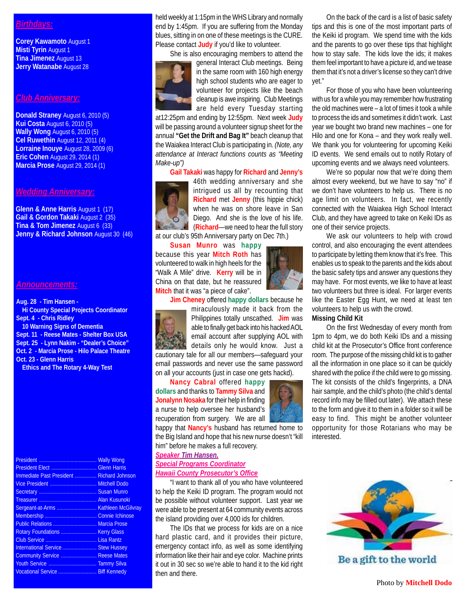# *Birthdays:*

**Corey Kawamoto** August 1 **Misti Tyrin** August 1 **Tina Jimenez** August 13 **Jerry Watanabe** August 28

## *Club Anniversary:*

**Donald Straney** August 6, 2010 (5) **Kui Costa** August 6, 2010 (5) **Wally Wong** August 6, 2010 (5) **Cel Ruwethin** August 12, 2011 (4) **Lorraine Inouye** August 28, 2009 (6) **Eric Cohen** August 29, 2014 (1) **Marcia Prose** August 29, 2014 (1)

# *Wedding Anniversary:*

**Glenn & Anne Harris** August 1 (17) **Gail & Gordon Takaki** August 2 (35) **Tina & Tom Jimenez** August 6 (33) **Jenny & Richard Johnson** August 30 (46)

## *Announcements:*

**Aug. 28 - Tim Hansen - Hi County Special Projects Coordinator Sept. 4 - Chris Ridley 10 Warning Signs of Dementia Sept. 11 - Reese Mates - Shelter Box USA Sept. 25 - Lynn Nakim - "Dealer's Choice" Oct. 2 - Marcia Prose - Hilo Palace Theatre Oct. 23 - Glenn Harris**

**Ethics and The Rotary 4-Way Test**

| Immediate Past President  Richard Johnson |
|-------------------------------------------|
|                                           |
|                                           |
|                                           |
|                                           |
|                                           |
|                                           |
|                                           |
|                                           |
|                                           |
|                                           |
|                                           |
|                                           |
|                                           |

held weekly at 1:15pm in the WHS Library and normally end by 1:45pm. If you are suffering from the Monday blues, sitting in on one of these meetings is the CURE. Please contact **Judy** if you'd like to volunteer.

She is also encouraging members to attend the



general Interact Club meetings. Being in the same room with 160 high energy high school students who are eager to volunteer for projects like the beach cleanup is awe inspiring. Club Meetings are held every Tuesday starting

at12:25pm and ending by 12:55pm. Next week **Judy** will be passing around a volunteer signup sheet for the annual **"Get the Drift and Bag It"** beach cleanup that the Waiakea Interact Club is participating in. *(Note, any attendance at Interact functions counts as "Meeting Make-up")*

**Gail Takaki** was happy for **Richard** and **Jenny's**



46th wedding anniversary and she intrigued us all by recounting that **Richard** met **Jenny** (this hippie chick) when he was on shore leave in San Diego. And she is the love of his life. (**Richard**—we need to hear the full story at our club's 95th Anniversary party on Dec 7th.)

**Susan Munro** was **happy**

because this year **Mitch Roth** has volunteered to walk in high heels for the "Walk A Mile" drive. **Kerry** will be in China on that date, but he reassured **Mitch** that it was "a piece of cake".



**Jim Cheney** offered **happy dollars** because he

miraculously made it back from the Philippines totally unscathed. **Jim** was able to finally get back into his hacked AOL email account after supplying AOL with details only he would know. Just a cautionary tale for all our members—safeguard your email passwords and never use the same password on all your accounts (just in case one gets hackd).

**Nancy Cabral** offered **happy dollars** and thanks to **Tammy Silva** and **Jonalynn Nosaka** for their help in finding a nurse to help oversee her husband's recuperation from surgery. We are all

happy that **Nancy's** husband has returned home to the Big Island and hope that his new nurse doesn't "kill him" before he makes a full recovery.

# *Speaker Tim Hansen, Special Programs Coordinator Hawaii County Prosecutor's Office*

"I want to thank all of you who have volunteered to help the Keiki ID program. The program would not be possible without volunteer support. Last year we were able to be present at 64 community events across the island providing over 4,000 ids for children.

The IDs that we process for kids are on a nice hard plastic card, and it provides their picture, emergency contact info, as well as some identifying information like their hair and eye color. Machine prints it out in 30 sec so we're able to hand it to the kid right then and there.

On the back of the card is a list of basic safety tips and this is one of the most important parts of the Keiki id program. We spend time with the kids and the parents to go over these tips that highlight how to stay safe. The kids love the ids; it makes them feel important to have a picture id, and we tease them that it's not a driver's license so they can't drive yet."

For those of you who have been volunteering with us for a while you may remember how frustrating the old machines were – a lot of times it took a while to process the ids and sometimes it didn't work. Last year we bought two brand new machines – one for Hilo and one for Kona – and they work really well. We thank you for volunteering for upcoming Keiki ID events. We send emails out to notify Rotary of upcoming events and we always need volunteers.

We're so popular now that we're doing them almost every weekend, but we have to say "no" if we don't have volunteers to help us. There is no age limit on volunteers. In fact, we recently connected with the Waiakea High School Interact Club, and they have agreed to take on Keiki IDs as one of their service projects.

We ask our volunteers to help with crowd control, and also encouraging the event attendees to participate by letting them know that it's free. This enables us to speak to the parents and the kids about the basic safety tips and answer any questions they may have. For most events, we like to have at least two volunteers but three is ideal. For larger events like the Easter Egg Hunt, we need at least ten volunteers to help us with the crowd.

# **Missing Child Kit**

On the first Wednesday of every month from 1pm to 4pm, we do both Keiki IDs and a missing child kit at the Prosecutor's Office front conference room. The purpose of the missing child kit is to gather all the information in one place so it can be quickly shared with the police if the child were to go missing. The kit consists of the child's fingerprints, a DNA hair sample, and the child's photo (the child's dental record info may be filled out later). We attach these to the form and give it to them in a folder so it will be easy to find. This might be another volunteer opportunity for those Rotarians who may be interested.